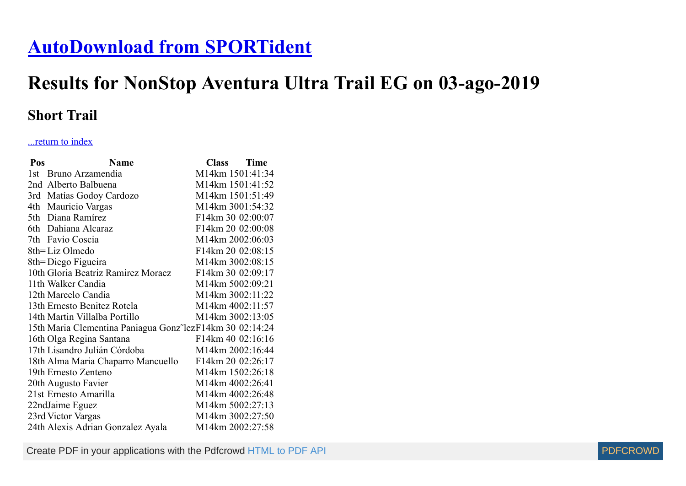## **[AutoDownload from SPORTident](http://www.sportident.co.uk/)**

## **Results for NonStop Aventura Ultra Trail EG on 03-ago-2019**

## **Short Trail**

## ...return to index

| Pos  | <b>Name</b>                                               | Class Time        |  |
|------|-----------------------------------------------------------|-------------------|--|
| 1st. | Bruno Arzamendia                                          | M14km 1501:41:34  |  |
|      | 2nd Alberto Balbuena                                      | M14km 1501:41:52  |  |
|      | 3rd Matías Godoy Cardozo                                  | M14km 1501:51:49  |  |
|      | 4th Mauricio Vargas                                       | M14km 3001:54:32  |  |
|      | 5th Diana Ramírez                                         | F14km 30 02:00:07 |  |
|      | 6th Dahiana Alcaraz                                       | F14km 20 02:00:08 |  |
|      | 7th Favio Coscia                                          | M14km 2002:06:03  |  |
|      | 8th=Liz Olmedo                                            | F14km 20 02:08:15 |  |
|      | 8th=Diego Figueira                                        | M14km 3002:08:15  |  |
|      | 10th Gloria Beatriz Ramirez Moraez                        | F14km 30 02:09:17 |  |
|      | 11th Walker Candia                                        | M14km 5002:09:21  |  |
|      | 12th Marcelo Candia                                       | M14km 3002:11:22  |  |
|      | 13th Ernesto Benitez Rotela                               | M14km 4002:11:57  |  |
|      | 14th Martin Villalba Portillo                             | M14km 3002:13:05  |  |
|      | 15th Maria Clementina Paniagua Gonz lez F14km 30 02:14:24 |                   |  |
|      | 16th Olga Regina Santana                                  | F14km 40 02:16:16 |  |
|      | 17th Lisandro Julián Córdoba                              | M14km 2002:16:44  |  |
|      | 18th Alma Maria Chaparro Mancuello                        | F14km 20 02:26:17 |  |
|      | 19th Ernesto Zenteno                                      | M14km 1502:26:18  |  |
|      | 20th Augusto Favier                                       | M14km 4002:26:41  |  |
|      | 21st Ernesto Amarilla                                     | M14km 4002:26:48  |  |
|      | 22ndJaime Eguez                                           | M14km 5002:27:13  |  |
|      | 23rd Victor Vargas                                        | M14km 3002:27:50  |  |
|      | 24th Alexis Adrian Gonzalez Ayala                         | M14km 2002:27:58  |  |

Create PDF in your applications with the Pdfcrowd [HTML to PDF API](https://pdfcrowd.com/doc/api/?ref=pdf) [PDFCROWD](https://pdfcrowd.com/?ref=pdf)

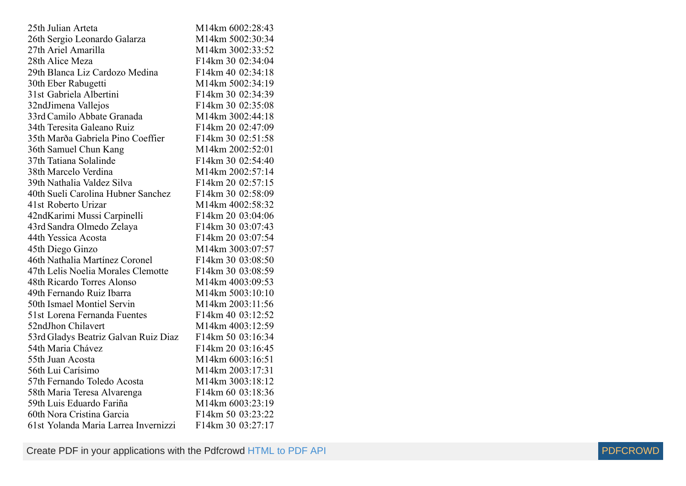| 25th Julian Arteta                   | M14km 6002:28:43  |
|--------------------------------------|-------------------|
| 26th Sergio Leonardo Galarza         | M14km 5002:30:34  |
| 27th Ariel Amarilla                  | M14km 3002:33:52  |
| 28th Alice Meza                      | F14km 30 02:34:04 |
| 29th Blanca Liz Cardozo Medina       | F14km 40 02:34:18 |
| 30th Eber Rabugetti                  | M14km 5002:34:19  |
| 31st Gabriela Albertini              | F14km 30 02:34:39 |
| 32ndJimena Vallejos                  | F14km 30 02:35:08 |
| 33rd Camilo Abbate Granada           | M14km 3002:44:18  |
| 34th Teresita Galeano Ruiz           | F14km 20 02:47:09 |
| 35th Marða Gabriela Pino Coeffier    | F14km 30 02:51:58 |
| 36th Samuel Chun Kang                | M14km 2002:52:01  |
| 37th Tatiana Solalinde               | F14km 30 02:54:40 |
| 38th Marcelo Verdina                 | M14km 2002:57:14  |
| 39th Nathalia Valdez Silva           | F14km 20 02:57:15 |
| 40th Sueli Carolina Hubner Sanchez   | F14km 30 02:58:09 |
| 41st Roberto Urizar                  | M14km 4002:58:32  |
| 42ndKarimi Mussi Carpinelli          | F14km 20 03:04:06 |
| 43rd Sandra Olmedo Zelaya            | F14km 30 03:07:43 |
| 44th Yessica Acosta                  | F14km 20 03:07:54 |
| 45th Diego Ginzo                     | M14km 3003:07:57  |
| 46th Nathalia Martínez Coronel       | F14km 30 03:08:50 |
| 47th Lelis Noelia Morales Clemotte   | F14km 30 03:08:59 |
| 48th Ricardo Torres Alonso           | M14km 4003:09:53  |
| 49th Fernando Ruiz Ibarra            | M14km 5003:10:10  |
| 50th Ismael Montiel Servin           | M14km 2003:11:56  |
| 51st Lorena Fernanda Fuentes         | F14km 40 03:12:52 |
| 52ndJhon Chilavert                   | M14km 4003:12:59  |
| 53rd Gladys Beatriz Galvan Ruiz Diaz | F14km 50 03:16:34 |
| 54th Maria Chávez                    | F14km 20 03:16:45 |
| 55th Juan Acosta                     | M14km 6003:16:51  |
| 56th Lui Carísimo                    | M14km 2003:17:31  |
| 57th Fernando Toledo Acosta          | M14km 3003:18:12  |
| 58th Maria Teresa Alvarenga          | F14km 60 03:18:36 |
| 59th Luis Eduardo Fariña             | M14km 6003:23:19  |
| 60th Nora Cristina Garcia            | F14km 50 03:23:22 |
| 61st Yolanda Maria Larrea Invernizzi | F14km 30 03:27:17 |